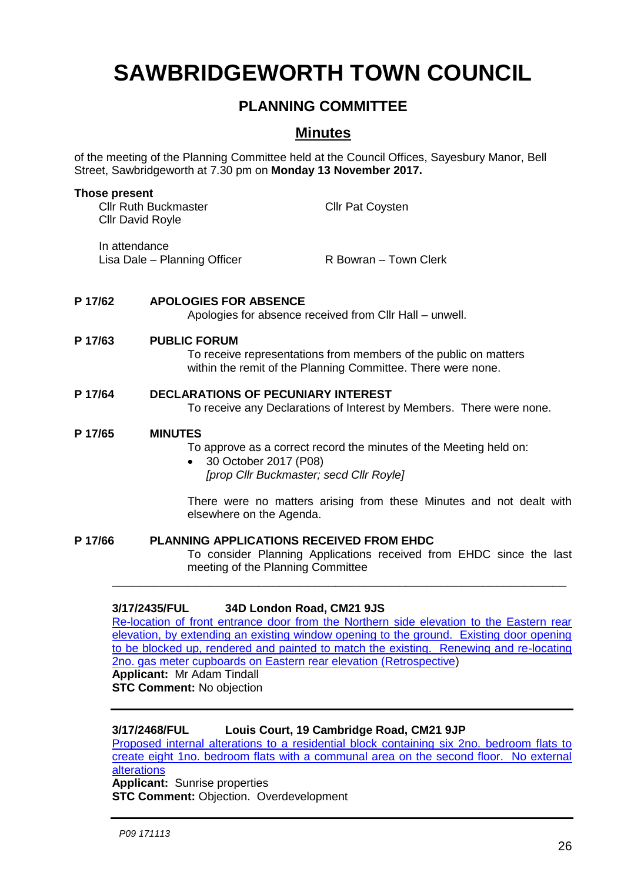# **SAWBRIDGEWORTH TOWN COUNCIL**

# **PLANNING COMMITTEE**

# **Minutes**

of the meeting of the Planning Committee held at the Council Offices, Sayesbury Manor, Bell Street, Sawbridgeworth at 7.30 pm on **Monday 13 November 2017.**

| <b>Those present</b><br><b>Cllr Ruth Buckmaster</b><br><b>Cllr David Royle</b> |                                                                                                                                                         | <b>Cllr Pat Coysten</b>                                                                                             |
|--------------------------------------------------------------------------------|---------------------------------------------------------------------------------------------------------------------------------------------------------|---------------------------------------------------------------------------------------------------------------------|
| In attendance                                                                  | Lisa Dale - Planning Officer                                                                                                                            | R Bowran - Town Clerk                                                                                               |
| P 17/62                                                                        | <b>APOLOGIES FOR ABSENCE</b>                                                                                                                            | Apologies for absence received from CIIr Hall – unwell.                                                             |
| P 17/63                                                                        | <b>PUBLIC FORUM</b><br>To receive representations from members of the public on matters<br>within the remit of the Planning Committee. There were none. |                                                                                                                     |
| P 17/64                                                                        | <b>DECLARATIONS OF PECUNIARY INTEREST</b><br>To receive any Declarations of Interest by Members. There were none.                                       |                                                                                                                     |
| P 17/65                                                                        | <b>MINUTES</b><br>30 October 2017 (P08)                                                                                                                 | To approve as a correct record the minutes of the Meeting held on:<br>[prop Cllr Buckmaster; secd Cllr Royle]       |
|                                                                                | elsewhere on the Agenda.                                                                                                                                | There were no matters arising from these Minutes and not dealt with                                                 |
| P 17/66                                                                        | <b>PLANNING APPLICATIONS RECEIVED FROM EHDC</b><br>meeting of the Planning Committee                                                                    | To consider Planning Applications received from EHDC since the last                                                 |
|                                                                                | 3/17/2435/FUL                                                                                                                                           | 34D London Road, CM21 9JS<br>Relegation of front optropeo door from the Northern side elevation to the Eastern rear |

Re-location of front entrance door from the Northern side elevation to the Eastern rear [elevation, by extending an existing window opening to the ground. Existing door opening](https://publicaccess.eastherts.gov.uk/online-applications/applicationDetails.do?keyVal=OXZ33VGLIYH00&activeTab=summary)  [to be blocked up, rendered and painted to match the existing. Renewing and re-locating](https://publicaccess.eastherts.gov.uk/online-applications/applicationDetails.do?keyVal=OXZ33VGLIYH00&activeTab=summary)  [2no. gas meter cupboards on Eastern rear elevation \(Retrospective\)](https://publicaccess.eastherts.gov.uk/online-applications/applicationDetails.do?keyVal=OXZ33VGLIYH00&activeTab=summary) **Applicant:** Mr Adam Tindall

**STC Comment:** No objection

### **3/17/2468/FUL Louis Court, 19 Cambridge Road, CM21 9JP**

[Proposed internal alterations to a residential block containing six 2no. bedroom flats to](https://publicaccess.eastherts.gov.uk/online-applications/applicationDetails.do?keyVal=OY2SGMGLIZZ00&activeTab=summary)  [create eight 1no. bedroom flats with a communal area on the second floor. No external](https://publicaccess.eastherts.gov.uk/online-applications/applicationDetails.do?keyVal=OY2SGMGLIZZ00&activeTab=summary)  [alterations](https://publicaccess.eastherts.gov.uk/online-applications/applicationDetails.do?keyVal=OY2SGMGLIZZ00&activeTab=summary)

**Applicant:** Sunrise properties **STC Comment:** Objection. Overdevelopment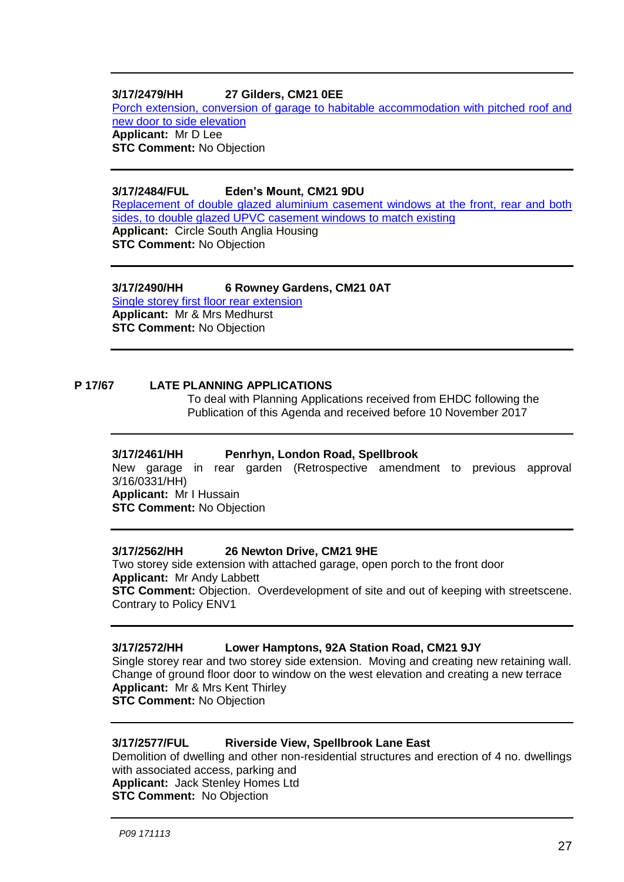#### **3/17/2479/HH 27 Gilders, CM21 0EE**

[Porch extension, conversion of garage to habitable accommodation with pitched roof and](https://publicaccess.eastherts.gov.uk/online-applications/applicationDetails.do?keyVal=OY4N4SGLJ0R00&activeTab=summary)  [new door to side elevation](https://publicaccess.eastherts.gov.uk/online-applications/applicationDetails.do?keyVal=OY4N4SGLJ0R00&activeTab=summary) **Applicant:** Mr D Lee **STC Comment:** No Objection

#### **3/17/2484/FUL Eden's Mount, CM21 9DU**

[Replacement of double glazed aluminium casement windows at the front, rear and both](https://publicaccess.eastherts.gov.uk/online-applications/applicationDetails.do?keyVal=OY9PE6GL00X00&activeTab=summary)  [sides, to double glazed UPVC casement windows to match existing](https://publicaccess.eastherts.gov.uk/online-applications/applicationDetails.do?keyVal=OY9PE6GL00X00&activeTab=summary) **Applicant:** Circle South Anglia Housing **STC Comment:** No Objection

## **3/17/2490/HH 6 Rowney Gardens, CM21 0AT**

[Single storey first floor rear extension](https://publicaccess.eastherts.gov.uk/online-applications/applicationDetails.do?keyVal=OYA00JGL01D00&activeTab=summary) **Applicant:** Mr & Mrs Medhurst **STC Comment:** No Objection

#### **P 17/67 LATE PLANNING APPLICATIONS**

To deal with Planning Applications received from EHDC following the Publication of this Agenda and received before 10 November 2017

#### **3/17/2461/HH Penrhyn, London Road, Spellbrook**

New garage in rear garden (Retrospective amendment to previous approval 3/16/0331/HH) **Applicant:** Mr I Hussain

**STC Comment:** No Objection

#### **3/17/2562/HH 26 Newton Drive, CM21 9HE**

Two storey side extension with attached garage, open porch to the front door **Applicant:** Mr Andy Labbett **STC Comment:** Objection. Overdevelopment of site and out of keeping with streetscene. Contrary to Policy ENV1

#### **3/17/2572/HH Lower Hamptons, 92A Station Road, CM21 9JY**

Single storey rear and two storey side extension. Moving and creating new retaining wall. Change of ground floor door to window on the west elevation and creating a new terrace **Applicant:** Mr & Mrs Kent Thirley **STC Comment:** No Objection

#### **3/17/2577/FUL Riverside View, Spellbrook Lane East**

Demolition of dwelling and other non-residential structures and erection of 4 no. dwellings with associated access, parking and **Applicant:** Jack Stenley Homes Ltd **STC Comment:** No Objection